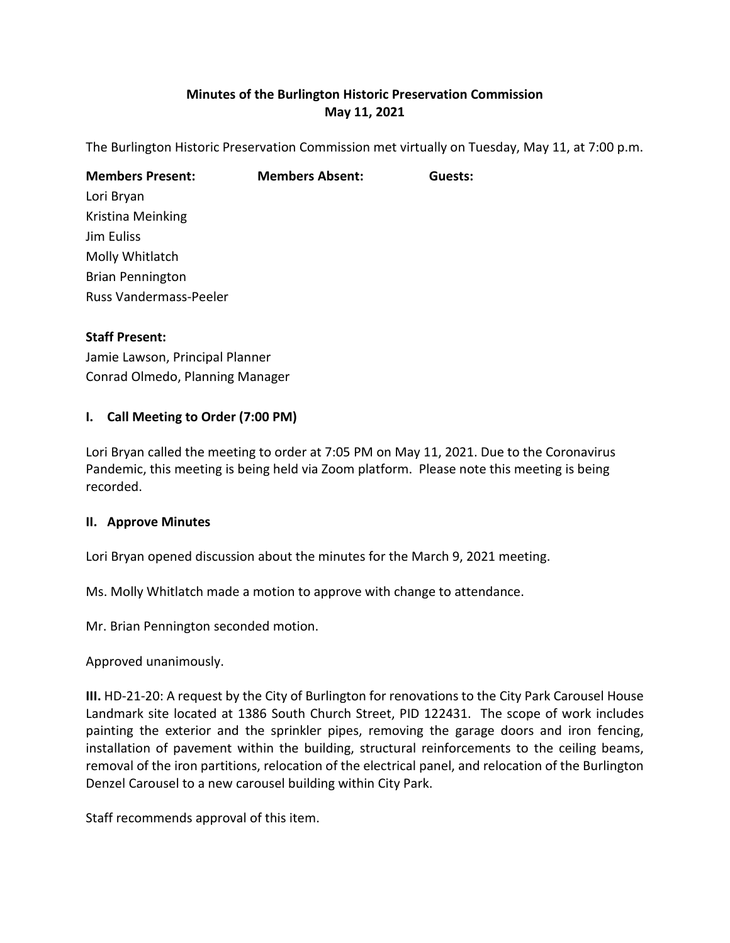# **Minutes of the Burlington Historic Preservation Commission May 11, 2021**

The Burlington Historic Preservation Commission met virtually on Tuesday, May 11, at 7:00 p.m.

| <b>Members Absent:</b> | Guests: |
|------------------------|---------|
|                        |         |
|                        |         |
|                        |         |
|                        |         |
|                        |         |
|                        |         |
|                        |         |

#### **Staff Present:**

Jamie Lawson, Principal Planner Conrad Olmedo, Planning Manager

#### **I. Call Meeting to Order (7:00 PM)**

Lori Bryan called the meeting to order at 7:05 PM on May 11, 2021. Due to the Coronavirus Pandemic, this meeting is being held via Zoom platform. Please note this meeting is being recorded.

#### **II. Approve Minutes**

Lori Bryan opened discussion about the minutes for the March 9, 2021 meeting.

Ms. Molly Whitlatch made a motion to approve with change to attendance.

Mr. Brian Pennington seconded motion.

Approved unanimously.

**III.** HD-21-20: A request by the City of Burlington for renovations to the City Park Carousel House Landmark site located at 1386 South Church Street, PID 122431. The scope of work includes painting the exterior and the sprinkler pipes, removing the garage doors and iron fencing, installation of pavement within the building, structural reinforcements to the ceiling beams, removal of the iron partitions, relocation of the electrical panel, and relocation of the Burlington Denzel Carousel to a new carousel building within City Park.

Staff recommends approval of this item.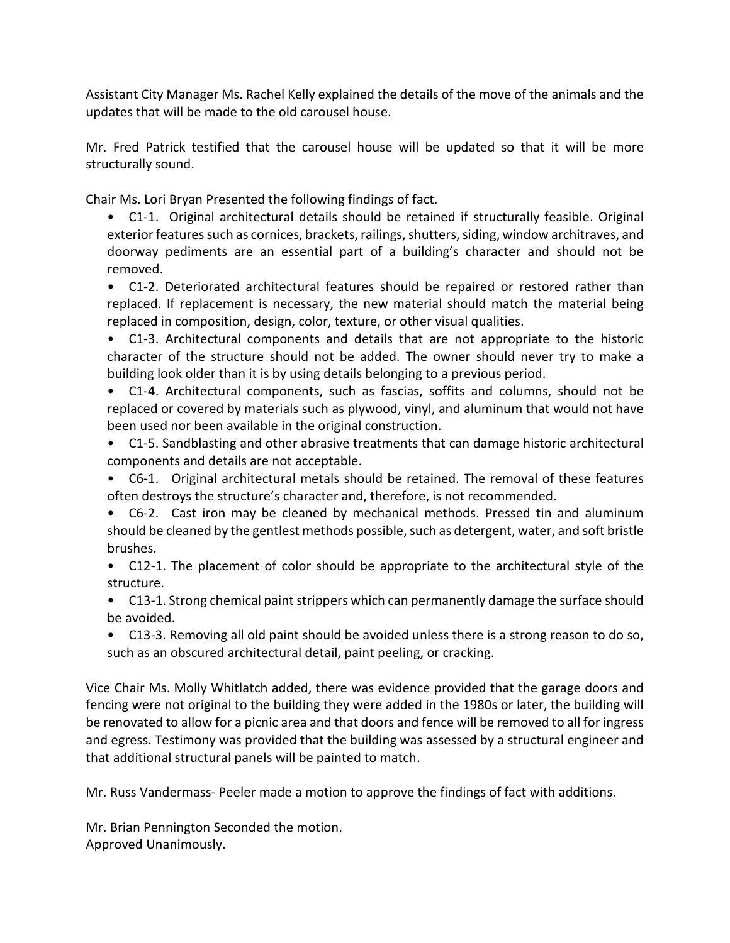Assistant City Manager Ms. Rachel Kelly explained the details of the move of the animals and the updates that will be made to the old carousel house.

Mr. Fred Patrick testified that the carousel house will be updated so that it will be more structurally sound.

Chair Ms. Lori Bryan Presented the following findings of fact.

• C1-1. Original architectural details should be retained if structurally feasible. Original exterior features such as cornices, brackets, railings, shutters, siding, window architraves, and doorway pediments are an essential part of a building's character and should not be removed.

• C1-2. Deteriorated architectural features should be repaired or restored rather than replaced. If replacement is necessary, the new material should match the material being replaced in composition, design, color, texture, or other visual qualities.

• C1-3. Architectural components and details that are not appropriate to the historic character of the structure should not be added. The owner should never try to make a building look older than it is by using details belonging to a previous period.

• C1-4. Architectural components, such as fascias, soffits and columns, should not be replaced or covered by materials such as plywood, vinyl, and aluminum that would not have been used nor been available in the original construction.

- C1-5. Sandblasting and other abrasive treatments that can damage historic architectural components and details are not acceptable.
- C6-1. Original architectural metals should be retained. The removal of these features often destroys the structure's character and, therefore, is not recommended.
- C6-2. Cast iron may be cleaned by mechanical methods. Pressed tin and aluminum should be cleaned by the gentlest methods possible, such as detergent, water, and soft bristle brushes.
- C12-1. The placement of color should be appropriate to the architectural style of the structure.
- C13-1. Strong chemical paint strippers which can permanently damage the surface should be avoided.
- C13-3. Removing all old paint should be avoided unless there is a strong reason to do so, such as an obscured architectural detail, paint peeling, or cracking.

Vice Chair Ms. Molly Whitlatch added, there was evidence provided that the garage doors and fencing were not original to the building they were added in the 1980s or later, the building will be renovated to allow for a picnic area and that doors and fence will be removed to all for ingress and egress. Testimony was provided that the building was assessed by a structural engineer and that additional structural panels will be painted to match.

Mr. Russ Vandermass- Peeler made a motion to approve the findings of fact with additions.

Mr. Brian Pennington Seconded the motion. Approved Unanimously.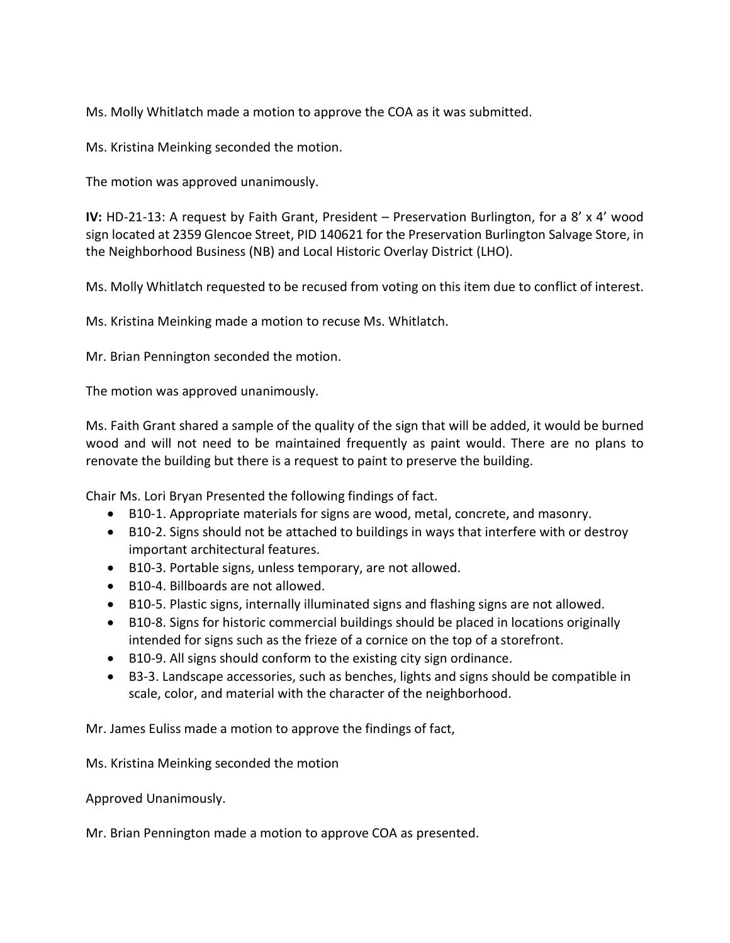Ms. Molly Whitlatch made a motion to approve the COA as it was submitted.

Ms. Kristina Meinking seconded the motion.

The motion was approved unanimously.

**IV:** HD-21-13: A request by Faith Grant, President – Preservation Burlington, for a 8' x 4' wood sign located at 2359 Glencoe Street, PID 140621 for the Preservation Burlington Salvage Store, in the Neighborhood Business (NB) and Local Historic Overlay District (LHO).

Ms. Molly Whitlatch requested to be recused from voting on this item due to conflict of interest.

Ms. Kristina Meinking made a motion to recuse Ms. Whitlatch.

Mr. Brian Pennington seconded the motion.

The motion was approved unanimously.

Ms. Faith Grant shared a sample of the quality of the sign that will be added, it would be burned wood and will not need to be maintained frequently as paint would. There are no plans to renovate the building but there is a request to paint to preserve the building.

Chair Ms. Lori Bryan Presented the following findings of fact.

- B10-1. Appropriate materials for signs are wood, metal, concrete, and masonry.
- B10-2. Signs should not be attached to buildings in ways that interfere with or destroy important architectural features.
- B10-3. Portable signs, unless temporary, are not allowed.
- B10-4. Billboards are not allowed.
- B10-5. Plastic signs, internally illuminated signs and flashing signs are not allowed.
- B10-8. Signs for historic commercial buildings should be placed in locations originally intended for signs such as the frieze of a cornice on the top of a storefront.
- B10-9. All signs should conform to the existing city sign ordinance.
- B3-3. Landscape accessories, such as benches, lights and signs should be compatible in scale, color, and material with the character of the neighborhood.

Mr. James Euliss made a motion to approve the findings of fact,

Ms. Kristina Meinking seconded the motion

Approved Unanimously.

Mr. Brian Pennington made a motion to approve COA as presented.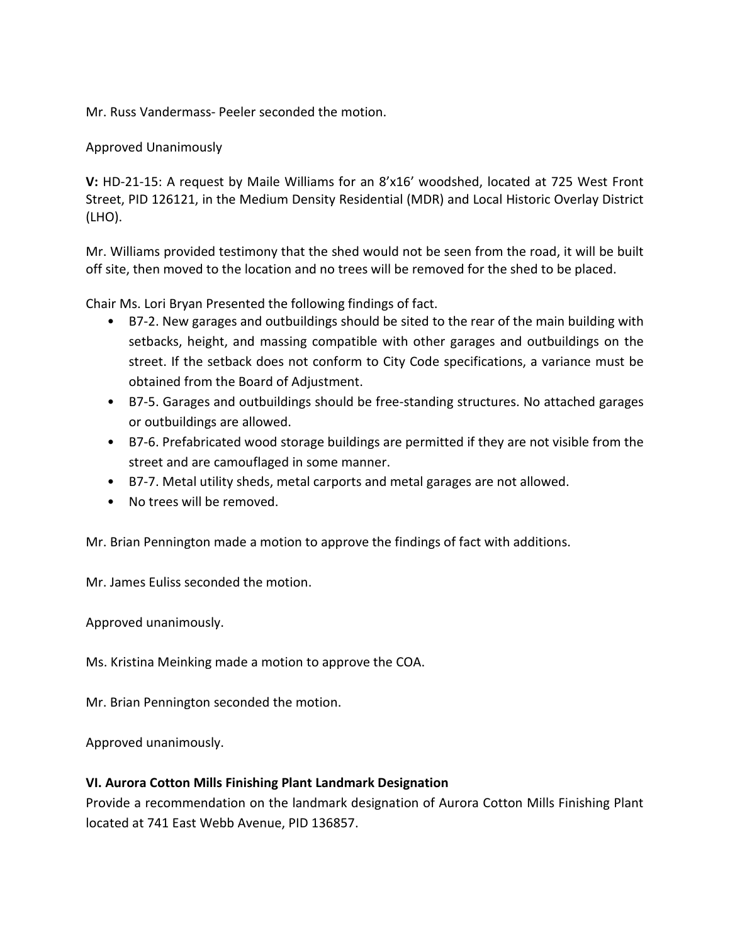Mr. Russ Vandermass- Peeler seconded the motion.

Approved Unanimously

**V:** HD-21-15: A request by Maile Williams for an 8'x16' woodshed, located at 725 West Front Street, PID 126121, in the Medium Density Residential (MDR) and Local Historic Overlay District (LHO).

Mr. Williams provided testimony that the shed would not be seen from the road, it will be built off site, then moved to the location and no trees will be removed for the shed to be placed.

Chair Ms. Lori Bryan Presented the following findings of fact.

- B7-2. New garages and outbuildings should be sited to the rear of the main building with setbacks, height, and massing compatible with other garages and outbuildings on the street. If the setback does not conform to City Code specifications, a variance must be obtained from the Board of Adjustment.
- B7-5. Garages and outbuildings should be free-standing structures. No attached garages or outbuildings are allowed.
- B7-6. Prefabricated wood storage buildings are permitted if they are not visible from the street and are camouflaged in some manner.
- B7-7. Metal utility sheds, metal carports and metal garages are not allowed.
- No trees will be removed.

Mr. Brian Pennington made a motion to approve the findings of fact with additions.

Mr. James Euliss seconded the motion.

Approved unanimously.

Ms. Kristina Meinking made a motion to approve the COA.

Mr. Brian Pennington seconded the motion.

Approved unanimously.

#### **VI. Aurora Cotton Mills Finishing Plant Landmark Designation**

Provide a recommendation on the landmark designation of Aurora Cotton Mills Finishing Plant located at 741 East Webb Avenue, PID 136857.